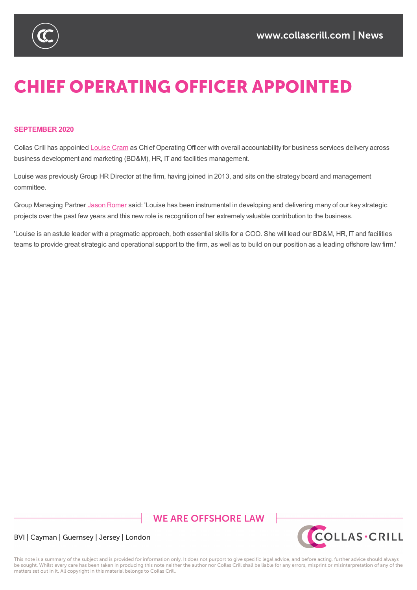

# **CHIEF OPERATING OFFICER APPOINTED**

### **SEPTEMBER 2020**

Collas Crill has appointed Louise Cram as Chief Operating Officer with overall accountability for business services delivery across business development and marketing (BD&M), HR, IT and facilities management.

Louise was previously Group HR [Directo](https://www.collascrill.com/who-we-are/c/louise-cram/)r at the firm, having joined in 2013, and sits on the strategy board and management committee.

Group Managing Partner Jason Romer said: 'Louise has been instrumental in developing and delivering many of our key strategic projects over the past few years and this new role is recognition of her extremely valuable contribution to the business.

'Louise is an astute leader with a pragmatic approach, both essential skills for a COO. She will lead our BD&M, HR, IT and facilities teams to provide great st[rategic](https://www.collascrill.com/who-we-are/r/jason-romer/) and operational support to the firm, as well as to build on our position as a leading offshore law firm.'

## **WE ARE OFFSHORE LAW**



BVI | Cayman | Guernsey | Jersey | London

This note is a summary of the subject and is provided for information only. It does not purport to give specific legal advice, and before acting, further advice should always be sought. Whilst every care has been taken in producing this note neither the author nor Collas Crill shall be liable for any errors, misprint or misinterpretation of any of the matters set out in it. All copyright in this material belongs to Collas Crill.